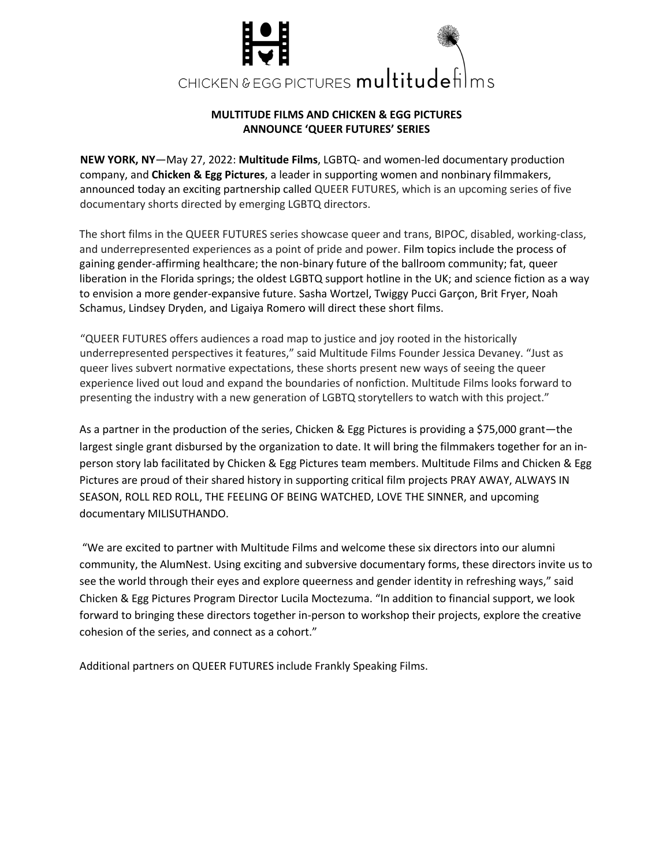

## **MULTITUDE FILMS AND CHICKEN & EGG PICTURES ANNOUNCE 'QUEER FUTURES' SERIES**

**NEW YORK, NY**—May 27, 2022: **Multitude Films**, LGBTQ- and women-led documentary production company, and **Chicken & Egg Pictures**, a leader in supporting women and nonbinary filmmakers, announced today an exciting partnership called QUEER FUTURES, which is an upcoming series of five documentary shorts directed by emerging LGBTQ directors.

The short films in the QUEER FUTURES series showcase queer and trans, BIPOC, disabled, working-class, and underrepresented experiences as a point of pride and power. Film topics include the process of gaining gender-affirming healthcare; the non-binary future of the ballroom community; fat, queer liberation in the Florida springs; the oldest LGBTQ support hotline in the UK; and science fiction as a way to envision a more gender-expansive future. Sasha Wortzel, Twiggy Pucci Garçon, Brit Fryer, Noah Schamus, Lindsey Dryden, and Ligaiya Romero will direct these short films.

"QUEER FUTURES offers audiences a road map to justice and joy rooted in the historically underrepresented perspectives it features," said Multitude Films Founder Jessica Devaney. "Just as queer lives subvert normative expectations, these shorts present new ways of seeing the queer experience lived out loud and expand the boundaries of nonfiction. Multitude Films looks forward to presenting the industry with a new generation of LGBTQ storytellers to watch with this project."

As a partner in the production of the series, Chicken & Egg Pictures is providing a \$75,000 grant—the largest single grant disbursed by the organization to date. It will bring the filmmakers together for an inperson story lab facilitated by Chicken & Egg Pictures team members. Multitude Films and Chicken & Egg Pictures are proud of their shared history in supporting critical film projects PRAY AWAY, ALWAYS IN SEASON, ROLL RED ROLL, THE FEELING OF BEING WATCHED, LOVE THE SINNER, and upcoming documentary MILISUTHANDO.

"We are excited to partner with Multitude Films and welcome these six directors into our alumni community, the AlumNest. Using exciting and subversive documentary forms, these directors invite us to see the world through their eyes and explore queerness and gender identity in refreshing ways," said Chicken & Egg Pictures Program Director Lucila Moctezuma. "In addition to financial support, we look forward to bringing these directors together in-person to workshop their projects, explore the creative cohesion of the series, and connect as a cohort."

Additional partners on QUEER FUTURES include Frankly Speaking Films.